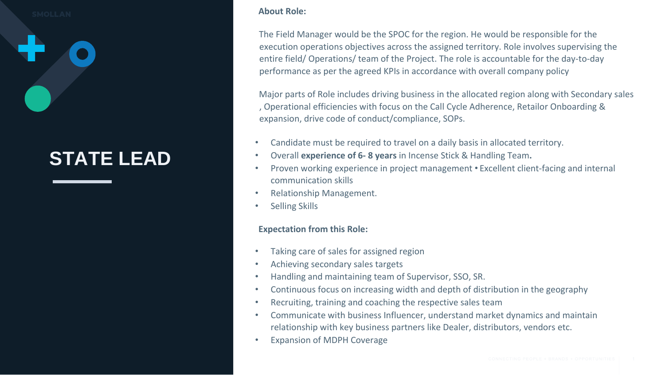### **STATE LEAD**

#### **About Role:**

The Field Manager would be the SPOC for the region. He would be responsible for the execution operations objectives across the assigned territory. Role involves supervising the entire field/ Operations/ team of the Project. The role is accountable for the day-to-day performance as per the agreed KPIs in accordance with overall company policy

Major parts of Role includes driving business in the allocated region along with Secondary sales , Operational efficiencies with focus on the Call Cycle Adherence, Retailor Onboarding & expansion, drive code of conduct/compliance, SOPs.

- Candidate must be required to travel on a daily basis in allocated territory.
- Overall **experience of 6- 8 years** in Incense Stick & Handling Team**.**
- Proven working experience in project management Excellent client-facing and internal communication skills
- Relationship Management.
- Selling Skills

### **Expectation from this Role:**

- Taking care of sales for assigned region
- Achieving secondary sales targets
- Handling and maintaining team of Supervisor, SSO, SR.
- Continuous focus on increasing width and depth of distribution in the geography
- Recruiting, training and coaching the respective sales team
- Communicate with business Influencer, understand market dynamics and maintain relationship with key business partners like Dealer, distributors, vendors etc.
- Expansion of MDPH Coverage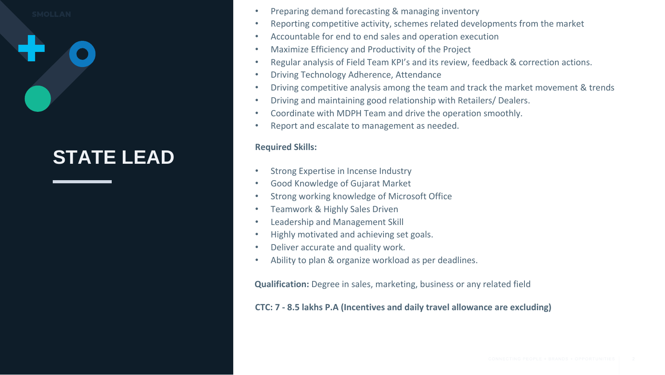# **STATE LEAD**

- Preparing demand forecasting & managing inventory
- Reporting competitive activity, schemes related developments from the market
- Accountable for end to end sales and operation execution
- Maximize Efficiency and Productivity of the Project
- Regular analysis of Field Team KPI's and its review, feedback & correction actions.
- Driving Technology Adherence, Attendance
- Driving competitive analysis among the team and track the market movement & trends
- Driving and maintaining good relationship with Retailers/ Dealers.
- Coordinate with MDPH Team and drive the operation smoothly.
- Report and escalate to management as needed.

### **Required Skills:**

- Strong Expertise in Incense Industry
- Good Knowledge of Gujarat Market
- Strong working knowledge of Microsoft Office
- Teamwork & Highly Sales Driven
- Leadership and Management Skill
- Highly motivated and achieving set goals.
- Deliver accurate and quality work.
- Ability to plan & organize workload as per deadlines.

**Qualification:** Degree in sales, marketing, business or any related field

### **CTC: 7 - 8.5 lakhs P.A (Incentives and daily travel allowance are excluding)**